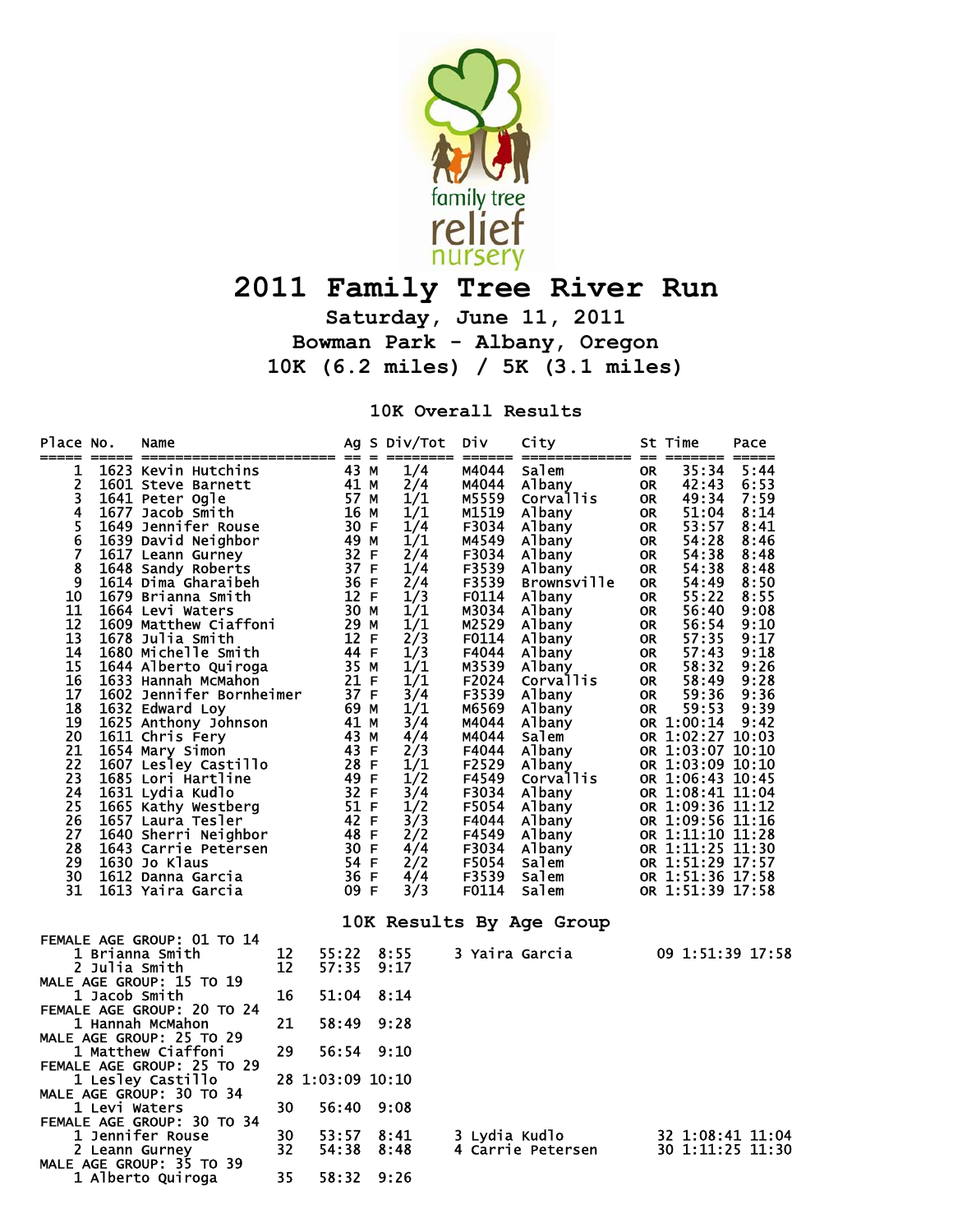

## **2011 Family Tree River Run**

**Saturday, June 11, 2011 Bowman Park - Albany, Oregon 10K (6.2 miles) / 5K (3.1 miles)** 

**10K Overall Results** 

| Place No.<br>=====         |               | Name                                        |                  |       | Ag S Div/Tot | Div            | City<br>====== ============= == ======= ===== |           | St Time                              | Pace             |
|----------------------------|---------------|---------------------------------------------|------------------|-------|--------------|----------------|-----------------------------------------------|-----------|--------------------------------------|------------------|
| 1                          |               | 1623 Kevin Hutchins<br>1601 Steve Barnett   |                  | 43 M  | 1/4          | M4044          | salem                                         | <b>OR</b> | 35:34                                | 5:44             |
| 2                          |               |                                             |                  | 41 M  | 2/4          | M4044          | Albany                                        | <b>OR</b> | 42:43                                | 6:53             |
| 3                          |               | 1641 Peter Ogle                             |                  | 57 M  | 1/1          | M5559          | Corvallis                                     | <b>OR</b> | 49:34                                | 7:59             |
| 4                          |               | 1677 Jacob Smith                            |                  | 16 M  | 1/1          | M1519          | Albany                                        | <b>OR</b> | 51:04                                | 8:14             |
|                            |               | 1649 Jennifer Rouse                         |                  | 30 F  | 1/4          | F3034          | Albany                                        | <b>OR</b> | 53:57                                | 8:41             |
| $\frac{5}{6}$              |               | 1639 David Neighbor                         |                  | 49 M  | 1/1          | M4549          | Albany                                        | <b>OR</b> | 54:28                                | 8:46             |
| $\overline{7}$             |               | 1617 Leann Gurney                           |                  | 32 F  | 2/4          | F3034          | Albany                                        | <b>OR</b> | 54:38                                | 8:48             |
| 8                          |               | 1648 Sandy Roberts                          |                  | 37 F  | 1/4          | F3539          | Albany                                        | OR        | 54:38                                | 8:48             |
| 9                          |               | 1614 Dima Gharaibeh                         |                  | 36 F  | 2/4          | F3539          | <b>Brownsville</b>                            | <b>OR</b> | 54:49                                | 8:50             |
| 10                         |               | 1679 Brianna Smith                          |                  | 12 F  | 1/3          | F0114          | Albany                                        | <b>OR</b> | 55:22                                | 8:55             |
| 11                         |               | 1664 Levi Waters                            |                  | 30 M  | 1/1          | M3034          | Albany                                        | <b>OR</b> | 56:40                                | 9:08             |
| 12                         |               | 1609 Matthew Ciaffoni                       |                  | 29 M  | 1/1          | M2529          | Albany                                        | <b>OR</b> | 56:54                                | 9:10             |
| 13                         |               | 1678 Julia Smith                            |                  | 12 F  | 2/3          | F0114          | Albany                                        | OR.       | 57:35                                | 9:17             |
| 14                         |               | 1680 Michelle Smith                         |                  | 44 F  | 1/3          | F4044          | Albany                                        | 0R        | 57:43                                | 9:18             |
| 15                         |               | 1644 Alberto Quiroga                        |                  | 35 M  | 1/1          | M3539          | Albany                                        | <b>OR</b> | 58:32                                | 9:26             |
| 16                         |               | 1633 Hannah McMahon                         |                  | 21 F  | 1/1          | F2024          | Corvallis                                     | <b>OR</b> | 58:49                                | 9:28             |
| 17                         |               | 1602 Jennifer Bornheimer<br>1633 Edward Lov |                  | 37 F  | 3/4          | F3539          | Albany                                        | <b>OR</b> | 59:36                                | 9:36             |
| 18                         |               | 1632 Edward Loy                             |                  | 69 M  | 1/1          | M6569          | Albany                                        | OR        | 59:53                                | 9:39             |
| 19                         |               | 1625 Anthony Johnson                        |                  | 41 M  | 3/4          | M4044          | Albany                                        |           | OR 1:00:14                           | 9:42             |
| $\overline{20}$            |               | 1611 Chris Fery                             |                  | 43 M  | 4/4          | M4044          | Salem                                         |           | OR 1:02:27 10:03                     |                  |
| 21                         |               | 1654 Mary Simon                             |                  | 43 F  | 2/3          | F4044          | Albany                                        |           | OR 1:03:07 10:10                     |                  |
| $\overline{2}\overline{2}$ |               | 1607 Lesley Castillo                        |                  | 28 F  | 1/1          | F2529          | Albany                                        |           | OR 1:03:09 10:10                     |                  |
| 23                         |               | 1685 Lori Hartline                          |                  | 49 F  | 1/2          | F4549          | Corvallis                                     |           | OR 1:06:43 10:45                     |                  |
| 24                         |               | 1631 Lydia Kudlo                            |                  | 32 F  | 3/4          | F3034          | Albany                                        |           | OR 1:08:41 11:04                     |                  |
| 25                         |               | 1665 Kathy Westberg                         |                  | 51 F  | 1/2          | F5054          | Albany                                        |           | OR 1:09:36 11:12                     |                  |
| 26                         |               | 1657 Laura Tesler                           |                  | 42 F  | 3/3          | F4044          | Albany                                        |           | OR 1:09:56 11:16                     |                  |
| 27                         |               | 1640 Sherri Neighbor                        |                  | 48 F  | 2/2          | F4549          | Albany                                        |           | OR 1:11:10 11:28                     |                  |
| 28                         |               | 1643 Carrie Petersen                        |                  | 30 F  | 4/4          | F3034          | Albany                                        |           |                                      |                  |
| 29                         |               | 1630 Jo Klaus                               |                  | 54 F  | 2/2          | F5054          | Salem                                         |           | OR 1:11:25 11:30<br>OR 1:51:29 17:57 |                  |
| 30                         |               | 1612 Danna Garcia                           |                  | 36 F  | 4/4          | F3539          | Salem                                         |           | OR 1:51:36 17:58                     |                  |
| 31                         |               | 1613 Yaira Garcia                           |                  | 09 F  | 3/3          | F0114          | Salem                                         |           | OR 1:51:39 17:58                     |                  |
|                            |               |                                             |                  |       |              |                | 10K Results By Age Group                      |           |                                      |                  |
|                            |               | FEMALE AGE GROUP: 01 TO 14                  |                  |       |              |                |                                               |           |                                      |                  |
|                            |               | 1 Brianna Smith                             | 12               | 55:22 | 8:55         | 3 Yaira Garcia |                                               |           | 09 1:51:39 17:58                     |                  |
|                            | 2 Julia Smith |                                             | 12               | 57:35 | 9:17         |                |                                               |           |                                      |                  |
|                            |               | MALE AGE GROUP: 15 TO 19                    |                  |       |              |                |                                               |           |                                      |                  |
|                            | 1 Jacob Smith |                                             | 16               | 51:04 | 8:14         |                |                                               |           |                                      |                  |
|                            |               | FEMALE AGE GROUP: 20 TO 24                  |                  |       |              |                |                                               |           |                                      |                  |
|                            |               | 1 Hannah McMahon                            | 21               | 58:49 | 9:28         |                |                                               |           |                                      |                  |
|                            |               | MALE AGE GROUP: 25 TO 29                    |                  |       |              |                |                                               |           |                                      |                  |
|                            |               | 1 Matthew Ciaffoni                          | 29               | 56:54 | 9:10         |                |                                               |           |                                      |                  |
|                            |               | FEMALE AGE GROUP: 25 TO 29                  |                  |       |              |                |                                               |           |                                      |                  |
|                            |               | 1 Lesley Castillo                           | 28 1:03:09 10:10 |       |              |                |                                               |           |                                      |                  |
|                            |               | MALE AGE GROUP: 30 TO 34                    |                  |       |              |                |                                               |           |                                      |                  |
|                            | 1 Levi Waters |                                             | 30               | 56:40 | 9:08         |                |                                               |           |                                      |                  |
|                            |               | FEMALE AGE GROUP: 30 TO 34                  |                  |       |              |                |                                               |           |                                      |                  |
|                            |               | 1 Jennifer Rouse                            | 30               | 53:57 | 8:41         | 3 Lydia Kudlo  |                                               |           |                                      | 32 1:08:41 11:04 |
|                            |               | 2 Leann Gurney                              | 32               | 54:38 | 8:48         |                | 4 Carrie Petersen                             |           | 30 1:11:25 11:30                     |                  |
|                            |               | MALE AGE GROUP: 35 TO 39                    |                  |       |              |                |                                               |           |                                      |                  |
|                            |               | 1 Alberto Quiroga                           | 35               | 58:32 | 9:26         |                |                                               |           |                                      |                  |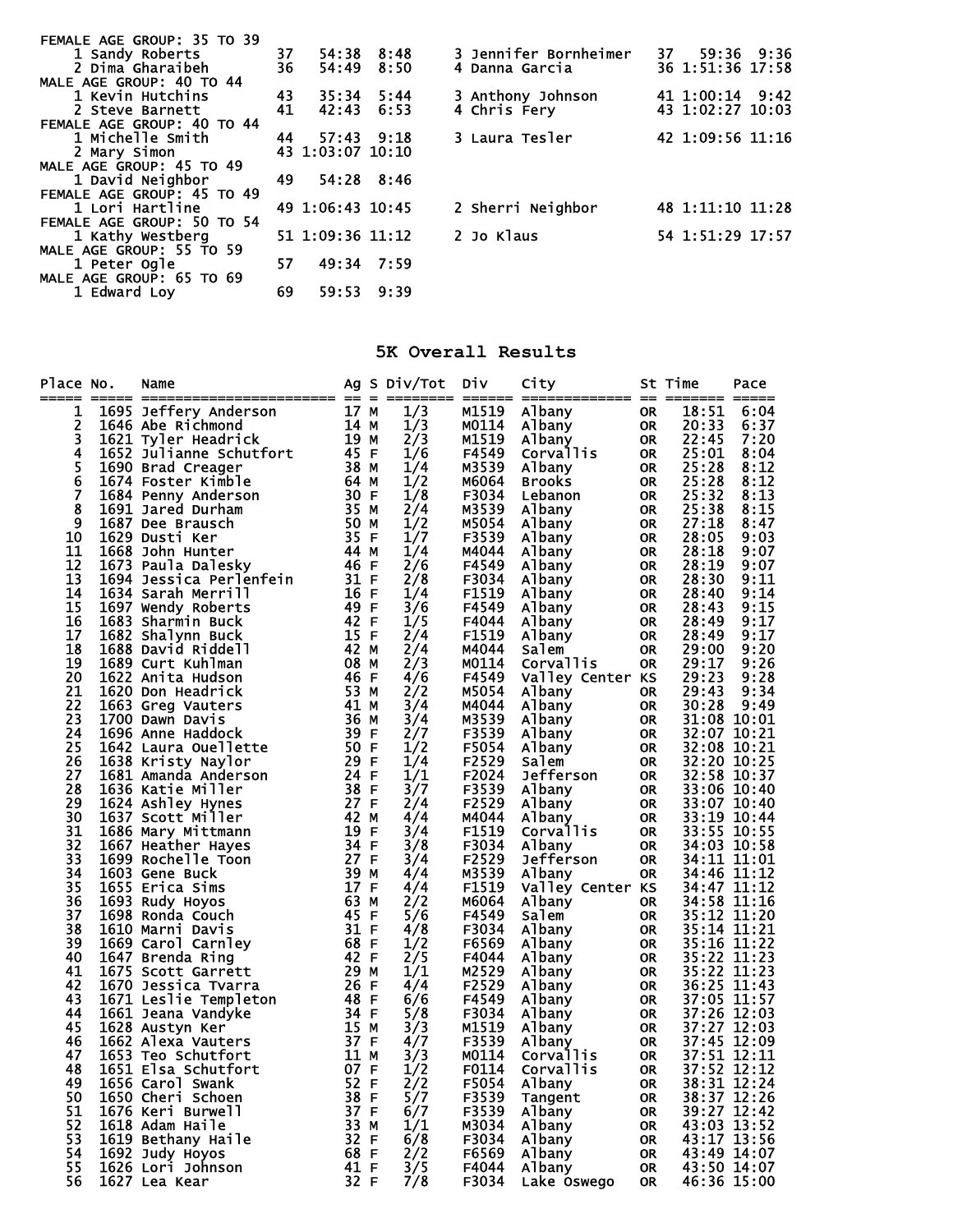| FEMALE AGE GROUP: 35 TO 39 |          |                  |      |                       |                  |
|----------------------------|----------|------------------|------|-----------------------|------------------|
| 1 Sandy Roberts            | 37<br>36 | 54:38 8:48       |      | 3 Jennifer Bornheimer | 37 59:36 9:36    |
| 2 Dima Gharaibeh           |          | 54:49            | 8:50 | 4 Danna Garcia        | 36 1:51:36 17:58 |
| MALE AGE GROUP: 40 TO 44   |          |                  |      |                       |                  |
| 1 Kevin Hutchins           | 43       | $35:34$ 5:44     |      | 3 Anthony Johnson     | 41 1:00:14 9:42  |
| 2 Steve Barnett            | 41       | 42:43            | 6:53 | 4 Chris Fery          | 43 1:02:27 10:03 |
| FEMALE AGE GROUP: 40 TO 44 |          |                  |      |                       |                  |
| 1 Michelle Smith           | 44       | 57:43 9:18       |      | 3 Laura Tesler        | 42 1:09:56 11:16 |
| 2 Mary Simon               |          | 43 1:03:07 10:10 |      |                       |                  |
| MALE AGE GROUP: 45 TO 49   |          |                  |      |                       |                  |
| 1 David Neighbor           | 49.      | 54:28 8:46       |      |                       |                  |
| FEMALE AGE GROUP: 45 TO 49 |          |                  |      |                       |                  |
| 1 Lori Hartline            |          | 49 1:06:43 10:45 |      | 2 Sherri Neighbor     | 48 1:11:10 11:28 |
| FEMALE AGE GROUP: 50 TO 54 |          |                  |      |                       |                  |
| 1 Kathy Westberg           |          | 51 1:09:36 11:12 |      | 2 Jo Klaus            | 54 1:51:29 17:57 |
| MALE AGE GROUP: 55 TO 59   |          |                  |      |                       |                  |
| 1 Peter Ogle               | 57       | 49:34 7:59       |      |                       |                  |
| MALE AGE GROUP: 65 TO 69   |          |                  |      |                       |                  |
| 1 Edward Lov               | 69       | 59:53            | 9:39 |                       |                  |
|                            |          |                  |      |                       |                  |

## **5K Overall Results**

| Place No.<br>_____ | Name                                                                                                                                                                                    |                           | Ag S Div/Tot  | <b>Div</b>     | City                                    |                        | St Time                    | Pace         |
|--------------------|-----------------------------------------------------------------------------------------------------------------------------------------------------------------------------------------|---------------------------|---------------|----------------|-----------------------------------------|------------------------|----------------------------|--------------|
| 1                  |                                                                                                                                                                                         |                           | 1/3           | M1519          | Albany<br>Albany<br>Albany<br>Corvallis | <b>OR</b>              | 18:51                      | 6:04         |
| 2                  |                                                                                                                                                                                         |                           | 1/3           | M0114          |                                         | OR                     | 20:33                      | 6:37         |
| 3                  |                                                                                                                                                                                         |                           | 2/3           | M1519          |                                         | <b>OR</b>              | 22:45                      | 7:20         |
| 4                  |                                                                                                                                                                                         |                           | 1/6           | F4549          |                                         | <b>OR</b>              | 25:01                      | 8:04         |
| 5<br>6             |                                                                                                                                                                                         |                           | 1/4           | M3539          | Albany                                  | <b>OR</b>              | 25:28                      | 8:12         |
|                    |                                                                                                                                                                                         |                           | 1/2           | M6064          | Brooks                                  | <b>OR</b>              | 25:28                      | 8:12         |
| 7                  |                                                                                                                                                                                         |                           | 1/8           | F3034          | Lebanon                                 | <b>OR</b>              | 25:32                      | 8:13         |
| 8                  |                                                                                                                                                                                         |                           | 2/4           | M3539          | Albany                                  | <b>OR</b>              | 25:38                      | 8:15         |
| 9                  |                                                                                                                                                                                         |                           | 1/2           | M5054          | Albany                                  | <b>OR</b>              | 27:18                      | 8:47         |
| 10                 |                                                                                                                                                                                         |                           | 1/7           | F3539          | Albany                                  | <b>OR</b>              | 28:05                      | 9:03         |
| 11                 |                                                                                                                                                                                         |                           | 1/4           | M4044          | Albany                                  | <b>OR</b>              | 28:18                      | 9:07         |
| 12                 |                                                                                                                                                                                         |                           | 2/6           | F4549          | Albany                                  | <b>OR</b>              | 28:19                      | 9:07         |
| 13                 |                                                                                                                                                                                         |                           | 2/8           | F3034          | Albany                                  | <b>OR</b>              | 28:30                      | 9:11         |
| 14                 |                                                                                                                                                                                         |                           | 1/4           | F1519          | Albany                                  | <b>OR</b>              | 28:40                      | 9:14         |
| 15<br>16           | 1697 Wendy Roberts                                                                                                                                                                      |                           | 3/6           | F4549          | Albany                                  | <b>OR</b>              | 28:43                      | 9:15         |
| 17                 | 1683 Sharmin Buck                                                                                                                                                                       |                           | 1/5           | F4044<br>F1519 | Albany                                  | <b>OR</b>              | 28:49<br>28:49             | 9:17<br>9:17 |
| 18                 | 1682 Shalynn Buck                                                                                                                                                                       |                           | 2/4           | M4044          | Albany<br>Salem                         | <b>OR</b>              | 29:00                      |              |
| 19                 | 1688 David Riddell<br>1689 Curt Kuhlman                                                                                                                                                 |                           | 2/4<br>2/3    | M0114          | Corvallis                               | <b>OR</b><br><b>OR</b> | 29:17                      | 9:20<br>9:26 |
| 20                 | 19 F<br>42 F<br>42 M<br>42 M<br>46 E<br>1622 Anita Hudson                                                                                                                               | 46 F                      | 4/6           | F4549          | Valley Center KS                        |                        | 29:23                      | 9:28         |
| 21                 | 1620 Don Headrick                                                                                                                                                                       | 53 M                      | 2/2           | M5054          | Albany                                  | <b>OR</b>              | 29:43                      | 9:34         |
| 22                 | 1663 Greg Vauters                                                                                                                                                                       | $41$ M                    | 3/4           | M4044          | Albany                                  | <b>OR</b>              | 30:28                      | 9:49         |
| 23                 | 1700 Dawn Davis                                                                                                                                                                         |                           | 3/4           | M3539          | Albany                                  | <b>OR</b>              | 31:08 10:01                |              |
| 24                 | 36 M<br>39 F<br>1696 Anne Haddock                                                                                                                                                       |                           | 2/7           | F3539          | Albany                                  | <b>OR</b>              | 32:07 10:21                |              |
| 25                 | 1642 Laura Ouellette                                                                                                                                                                    | $\frac{50}{3}$ F          | 1/2           | F5054          | Albany                                  | OR                     | 32:08 10:21                |              |
| 26                 | 1638 Kristy Naylor                                                                                                                                                                      | 29 F                      | 1/4           | F2529          | Salem                                   | OR                     |                            |              |
| 27                 |                                                                                                                                                                                         |                           | 1/1           | F2024          | Jefferson                               | OR                     | 32:20 10:25<br>32:58 10:37 |              |
| 28                 | 1681 Amanda Anderson 24 F<br>1636 Katie Miller 38 F                                                                                                                                     |                           | 3/7           | F3539          | Albany                                  | <b>OR</b>              | 33:06 10:40                |              |
| 29                 | 27 F<br>42 M<br>1624 Ashley Hynes                                                                                                                                                       |                           | 2/4           | F2529          | Albany                                  | OR                     | 33:07 10:40                |              |
| 30                 | 1637 Scott Miller                                                                                                                                                                       |                           | 4/4           | M4044          | Albany                                  | <b>OR</b>              |                            | 33:19 10:44  |
| 31                 | 1686 Mary Mittmann                                                                                                                                                                      |                           | 3/4           | F1519          | Corvallis                               | <b>OR</b>              | 33:55 10:55                |              |
| 32                 | 1667 Heather Hayes                                                                                                                                                                      |                           | 3/8           | F3034          | Albany                                  | <b>OR</b>              | 34:03 10:58                |              |
| 33                 | 1699 Rochelle Toon                                                                                                                                                                      |                           | 3/4           | F2529          | Jefferson                               | OR                     | 34:11 11:01                |              |
| 34                 | 1603 Gene Buck                                                                                                                                                                          |                           | 4/4           | M3539          | Albany                                  | OR                     | 34:46 11:12                |              |
| 35                 | 1655 Erica Sims                                                                                                                                                                         |                           | 4/4           | F1519          | Valley Center KS                        |                        | 34:47 11:12<br>34:58 11:16 |              |
| 36                 | 1693 Rudy Hoyos                                                                                                                                                                         | $\overline{63}$ M<br>45 F | 2/2           | M6064          | Albany                                  | <b>OR</b>              |                            |              |
| 37                 | 1698 Ronda Couch                                                                                                                                                                        |                           | 5/6           | F4549          | Salem                                   | <b>OR</b>              | $35:12$ $\overline{11}:20$ |              |
| 38                 | 1610 Marni Davis                                                                                                                                                                        | 31 F                      | 4/8           | F3034          | Albany                                  | <b>OR</b>              | 35:14 11:21                |              |
| 39                 | $1669$ Carol Carnley 68 F                                                                                                                                                               |                           | $\frac{1}{2}$ | F6569          | Albany                                  | <b>OR</b>              | 35:16 11:22                |              |
| 40                 | 1647 Brenda Ring                                                                                                                                                                        | 42 F                      |               | F4044          | Albany                                  | <b>OR</b>              | $35:22$ $11:23$            |              |
| 41                 | 1675 Scott Garrett                                                                                                                                                                      | 29 M                      | 1/1           | M2529          | Albany                                  | <b>OR</b>              | 35:22 11:23                |              |
| 42                 | 1670 Jessica Tvarra                                                                                                                                                                     | 26 F                      | 4/4           | F2529          | Albany                                  | <b>OR</b>              | 36:25 11:43                |              |
| 43                 | 1671 Leslie Templeton<br>1661 Jeana Vandyke<br>1662 Austyn Ker<br>1662 Alexa Vandyke<br>1662 Alexa Vanters<br>1653 Teo Schutfort<br>1651 Flsa Schutfort<br>1651 Flsa Schutfort<br>167 F |                           | 6/6           | F4549          | Albany                                  | OR                     | 37:05 11:57                |              |
| 44                 |                                                                                                                                                                                         |                           | 5/8           | F3034          | Albany                                  | OR                     | 37:26 12:03                |              |
| 45                 |                                                                                                                                                                                         |                           | 3/3           | M1519          | Albany                                  | OR                     | 37:27 12:03                |              |
| 46                 |                                                                                                                                                                                         |                           | 4/7           | F3539          | Albany                                  | OR                     | 37:45 12:09                |              |
| 47                 |                                                                                                                                                                                         |                           | 3/3           | M0114          | Corvallis                               | <b>OR</b>              | $37:51$ $\overline{12}:11$ |              |
| 48                 | 1651 Elsa Schutfort 07 F                                                                                                                                                                |                           | 1/2           | F0114          | Corvallis<br><b>OR</b>                  |                        |                            | 37:52 12:12  |
| 49                 | 1656 Carol Swank                                                                                                                                                                        | 52 F                      | 2/2           | F5054          | Albany                                  | <b>OR</b>              |                            | 38:31 12:24  |
| 50                 | 1650 Cheri Schoen                                                                                                                                                                       | 38 F                      | 5/7           | F3539          | Tangent                                 | <b>OR</b>              |                            | 38:37 12:26  |
| 51<br>52           | 1676 Keri Burwell                                                                                                                                                                       | 37 F                      | 6/7           | F3539          | Albany                                  | <b>OR</b>              | 43:03 13:52                | 39:27 12:42  |
| 53                 | 1618 Adam Haile<br>1619 Bethany Haile                                                                                                                                                   | 33 M<br>32 F              | 1/1           | M3034<br>F3034 | Albany                                  | <b>OR</b>              |                            |              |
| 54                 | 1692 Judy Hoyos                                                                                                                                                                         | 68 F                      | 6/8<br>2/2    | F6569          | Albany<br>Albany                        | <b>OR</b>              | 43:17 13:56                | 43:49 14:07  |
| 55                 | 1626 Lori Johnson                                                                                                                                                                       | 41 F                      | $\frac{3}{5}$ | F4044          | Albany                                  | <b>OR</b><br><b>OR</b> |                            | 43:50 14:07  |
| 56                 | 1627 Lea Kear                                                                                                                                                                           | 32 F                      | 7/8           | F3034          | Lake Oswego                             | OR.                    |                            | 46:36 15:00  |
|                    |                                                                                                                                                                                         |                           |               |                |                                         |                        |                            |              |